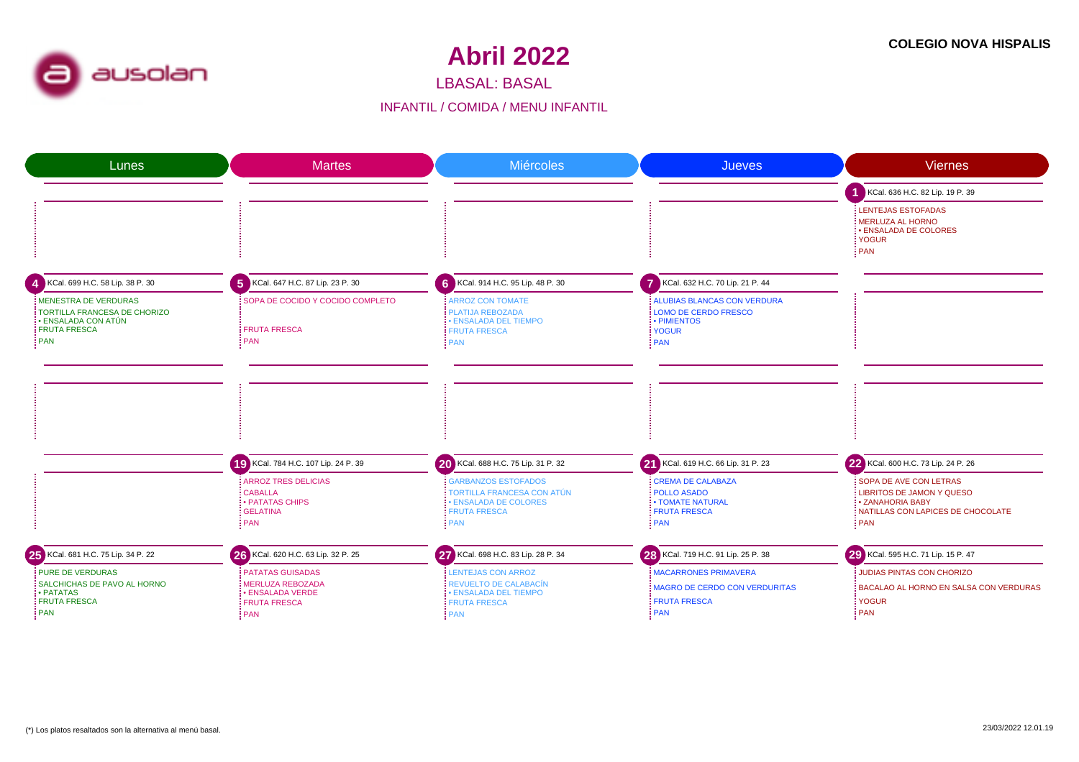

LBASAL: BASAL

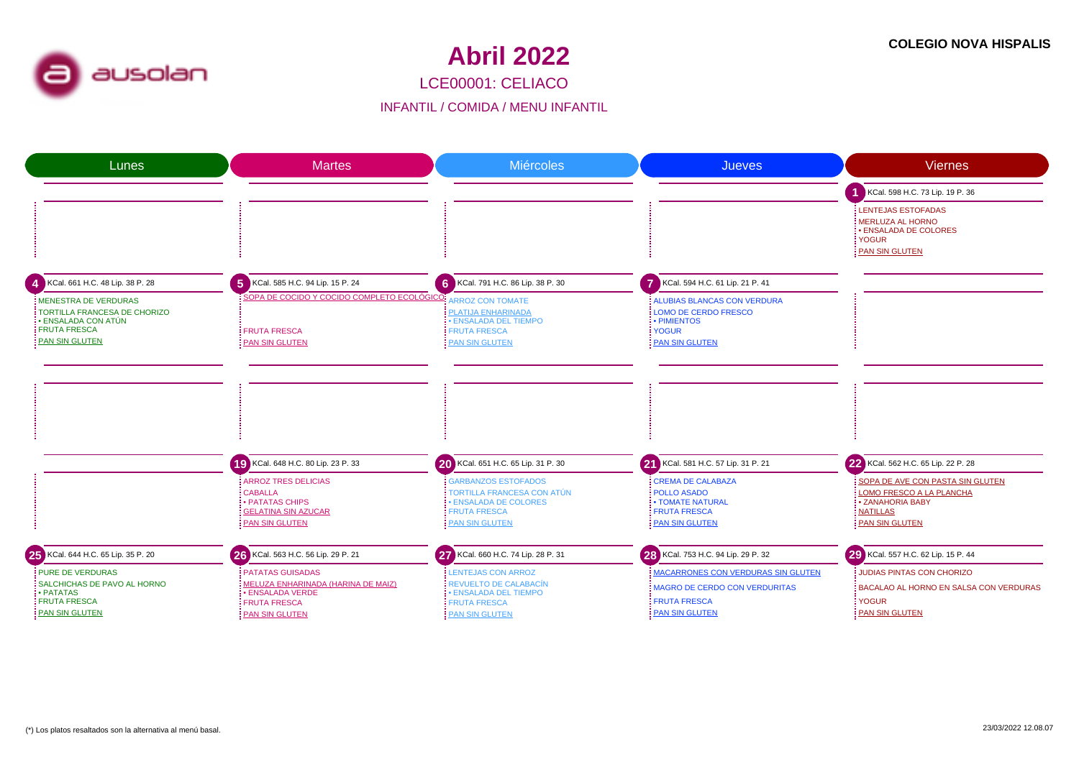

LCE00001: CELIACO

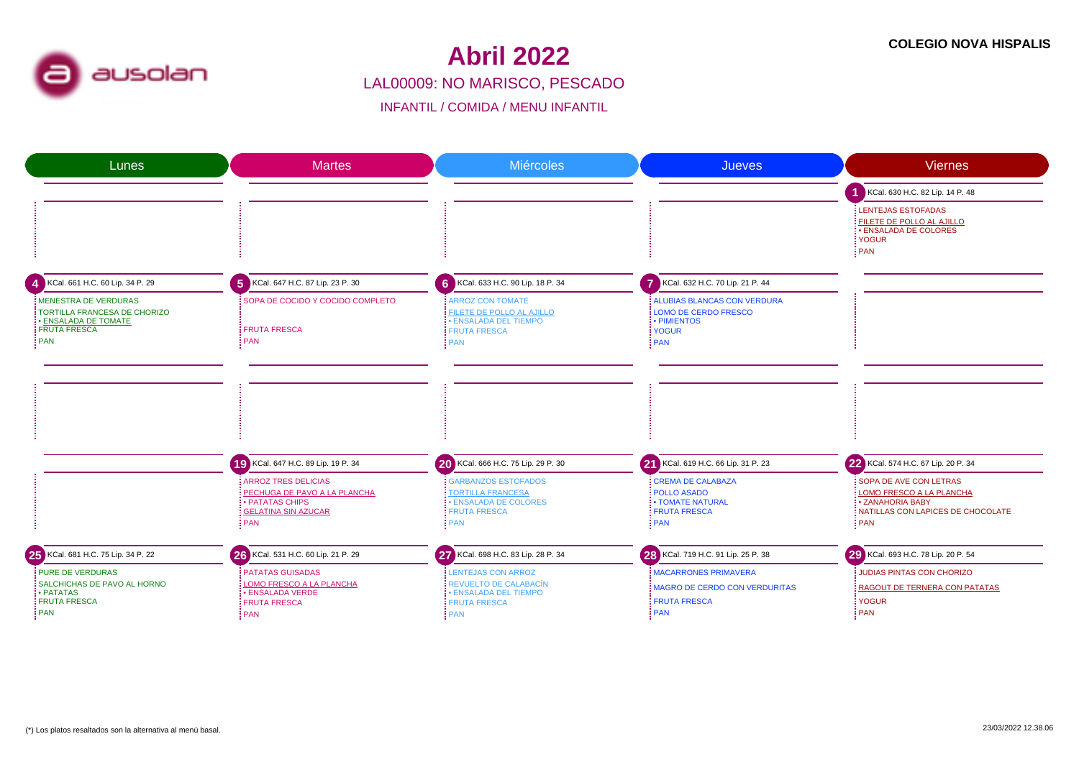

#### LAL00009: NO MARISCO, PESCADO**Abril 2022**

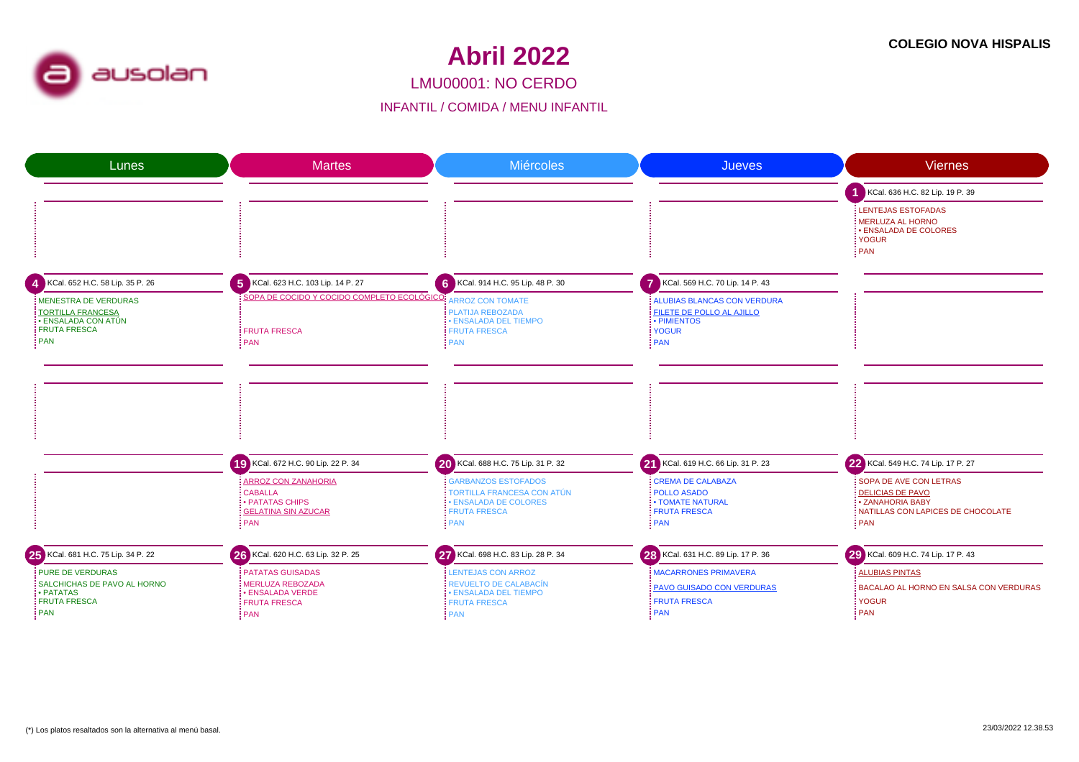

LMU00001: NO CERDO

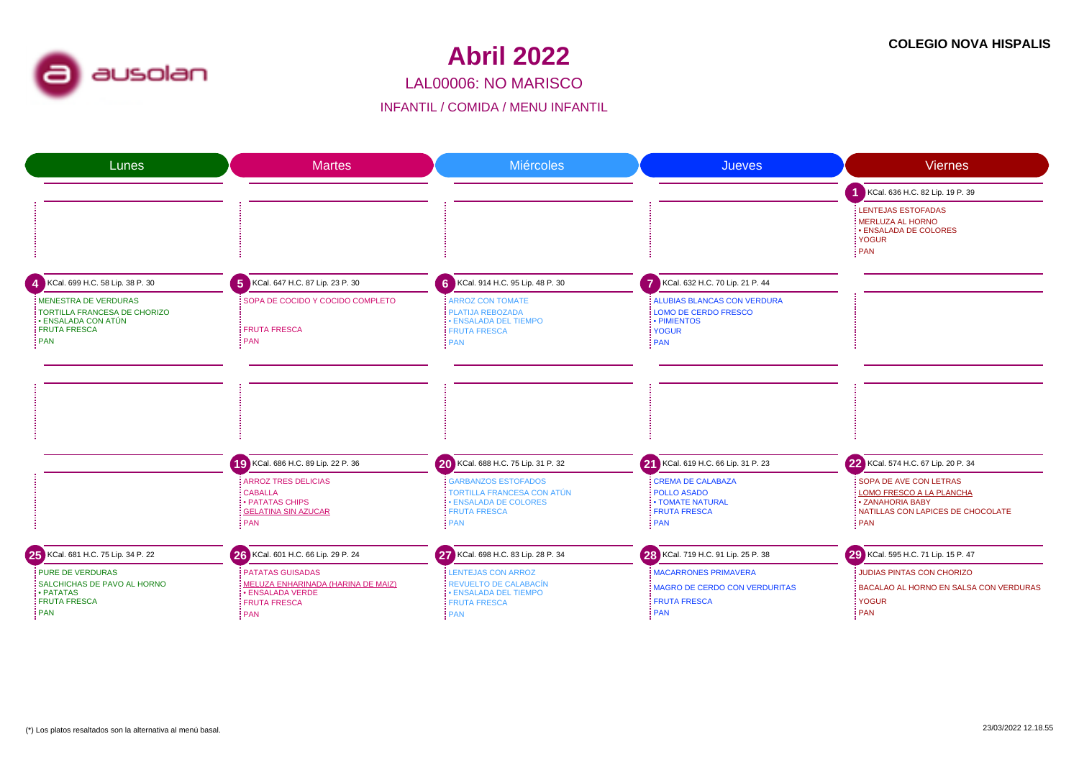

LAL00006: NO MARISCO

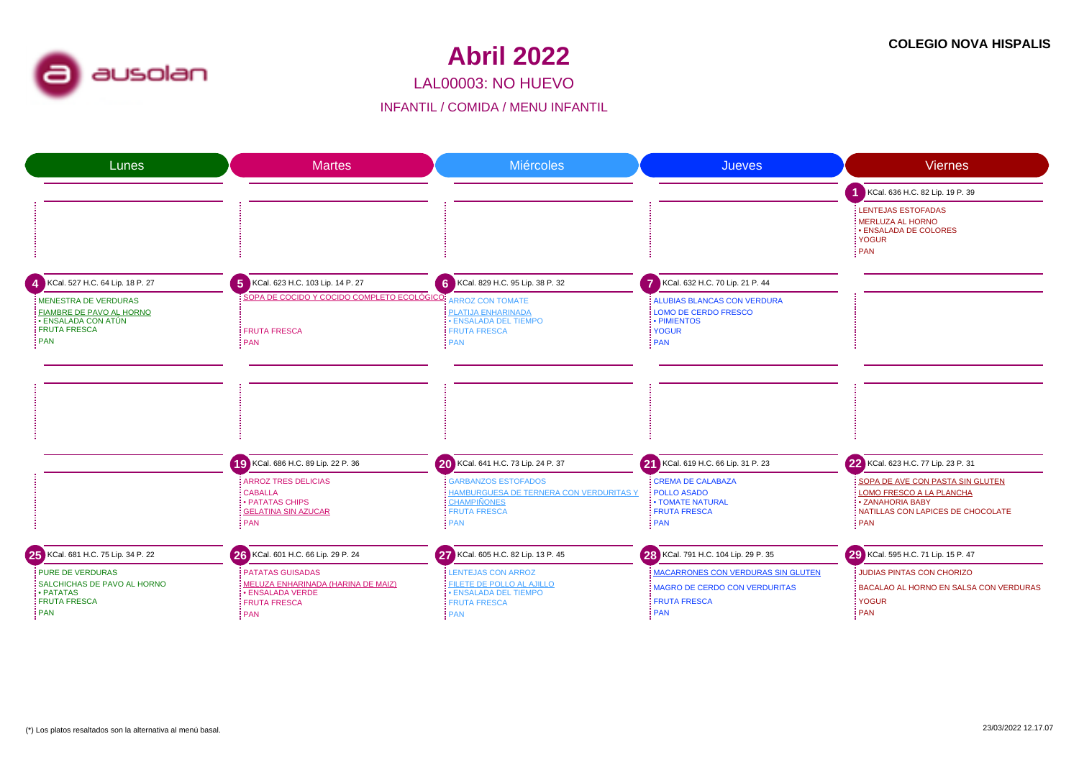

LAL00003: NO HUEVO

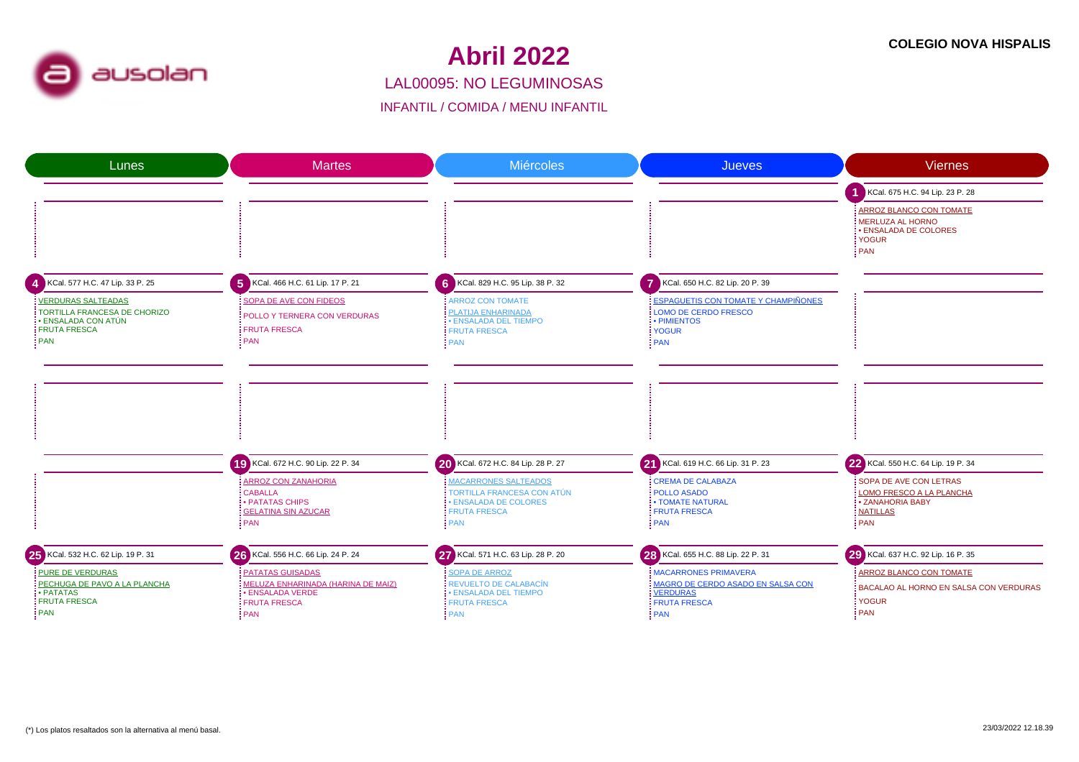

#### LAL00095: NO LEGUMINOSAS**Abril 2022**

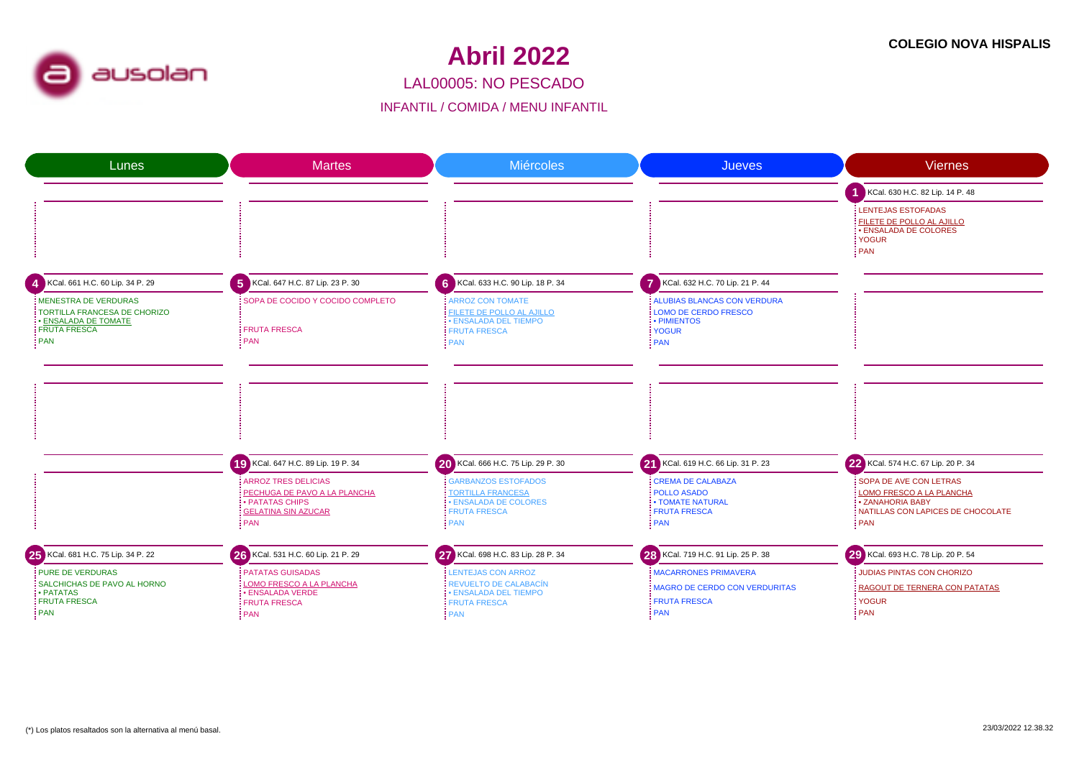

#### LAL00005: NO PESCADO

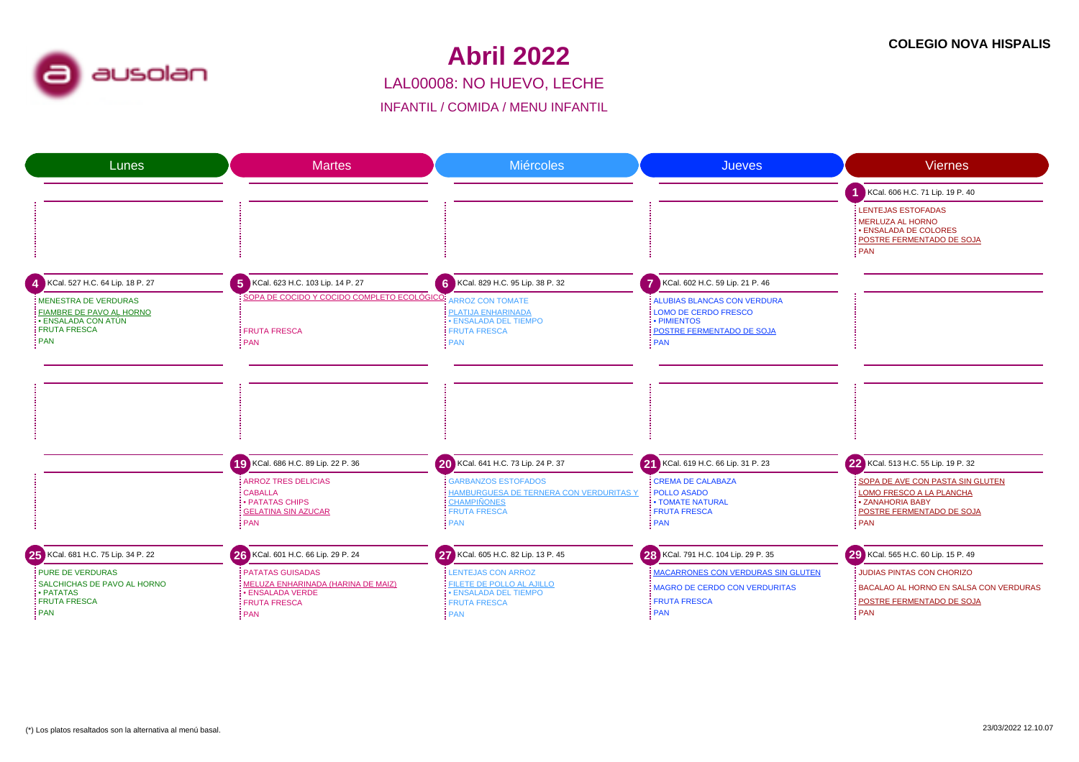

### LAL00008: NO HUEVO, LECHE**Abril 2022**